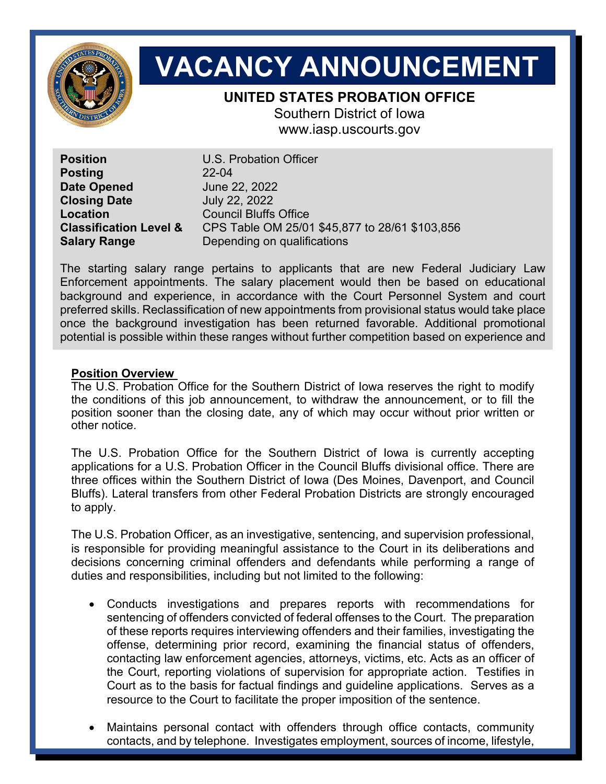

# **VACANCY ANNOUNCEMENT**

# **UNITED STATES PROBATION OFFICE**

Southern District of Iowa www.iasp.uscourts.gov

**Position** U.S. Probation Officer **Posting** 22-04 **Date Opened** June 22, 2022 **Closing Date** July 22, 2022 **Location** Council Bluffs Office

**Classification Level &** CPS Table OM 25/01 \$45,877 to 28/61 \$103,856 **Salary Range Depending on qualifications** 

The starting salary range pertains to applicants that are new Federal Judiciary Law Enforcement appointments. The salary placement would then be based on educational background and experience, in accordance with the Court Personnel System and court preferred skills. Reclassification of new appointments from provisional status would take place once the background investigation has been returned favorable. Additional promotional potential is possible within these ranges without further competition based on experience and

# **Position Overview**

The U.S. Probation Office for the Southern District of Iowa reserves the right to modify the conditions of this job announcement, to withdraw the announcement, or to fill the position sooner than the closing date, any of which may occur without prior written or other notice.

The U.S. Probation Office for the Southern District of Iowa is currently accepting applications for a U.S. Probation Officer in the Council Bluffs divisional office. There are three offices within the Southern District of Iowa (Des Moines, Davenport, and Council Bluffs). Lateral transfers from other Federal Probation Districts are strongly encouraged to apply.

The U.S. Probation Officer, as an investigative, sentencing, and supervision professional, is responsible for providing meaningful assistance to the Court in its deliberations and decisions concerning criminal offenders and defendants while performing a range of duties and responsibilities, including but not limited to the following:

- Conducts investigations and prepares reports with recommendations for sentencing of offenders convicted of federal offenses to the Court. The preparation of these reports requires interviewing offenders and their families, investigating the offense, determining prior record, examining the financial status of offenders, contacting law enforcement agencies, attorneys, victims, etc. Acts as an officer of the Court, reporting violations of supervision for appropriate action. Testifies in Court as to the basis for factual findings and guideline applications. Serves as a resource to the Court to facilitate the proper imposition of the sentence.
- Maintains personal contact with offenders through office contacts, community contacts, and by telephone. Investigates employment, sources of income, lifestyle,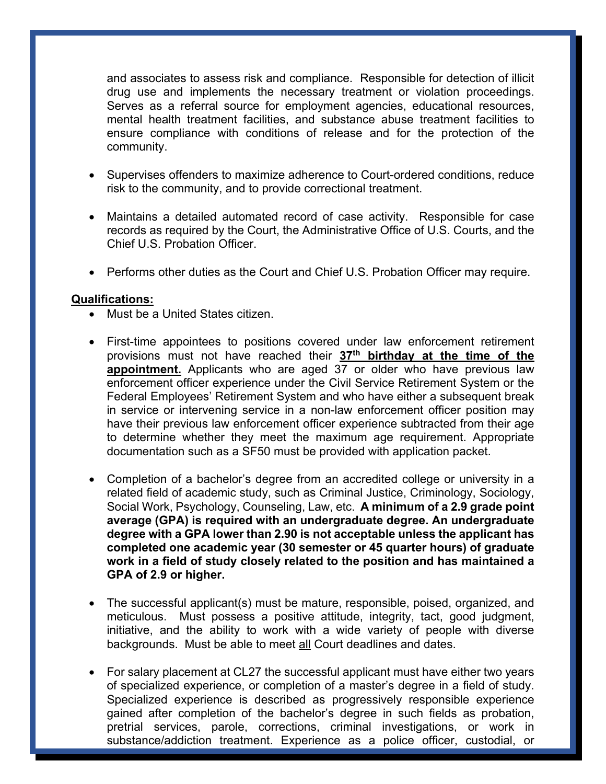and associates to assess risk and compliance. Responsible for detection of illicit drug use and implements the necessary treatment or violation proceedings. Serves as a referral source for employment agencies, educational resources, mental health treatment facilities, and substance abuse treatment facilities to ensure compliance with conditions of release and for the protection of the community.

- Supervises offenders to maximize adherence to Court-ordered conditions, reduce risk to the community, and to provide correctional treatment.
- Maintains a detailed automated record of case activity. Responsible for case records as required by the Court, the Administrative Office of U.S. Courts, and the Chief U.S. Probation Officer.
- Performs other duties as the Court and Chief U.S. Probation Officer may require.

## **Qualifications:**

- Must be a United States citizen.
- First-time appointees to positions covered under law enforcement retirement provisions must not have reached their **37th birthday at the time of the appointment.** Applicants who are aged 37 or older who have previous law enforcement officer experience under the Civil Service Retirement System or the Federal Employees' Retirement System and who have either a subsequent break in service or intervening service in a non-law enforcement officer position may have their previous law enforcement officer experience subtracted from their age to determine whether they meet the maximum age requirement. Appropriate documentation such as a SF50 must be provided with application packet.
- Completion of a bachelor's degree from an accredited college or university in a related field of academic study, such as Criminal Justice, Criminology, Sociology, Social Work, Psychology, Counseling, Law, etc. **A minimum of a 2.9 grade point average (GPA) is required with an undergraduate degree. An undergraduate degree with a GPA lower than 2.90 is not acceptable unless the applicant has completed one academic year (30 semester or 45 quarter hours) of graduate work in a field of study closely related to the position and has maintained a GPA of 2.9 or higher.**
- The successful applicant(s) must be mature, responsible, poised, organized, and meticulous. Must possess a positive attitude, integrity, tact, good judgment, initiative, and the ability to work with a wide variety of people with diverse backgrounds. Must be able to meet all Court deadlines and dates.
- For salary placement at CL27 the successful applicant must have either two years of specialized experience, or completion of a master's degree in a field of study. Specialized experience is described as progressively responsible experience gained after completion of the bachelor's degree in such fields as probation, pretrial services, parole, corrections, criminal investigations, or work in substance/addiction treatment. Experience as a police officer, custodial, or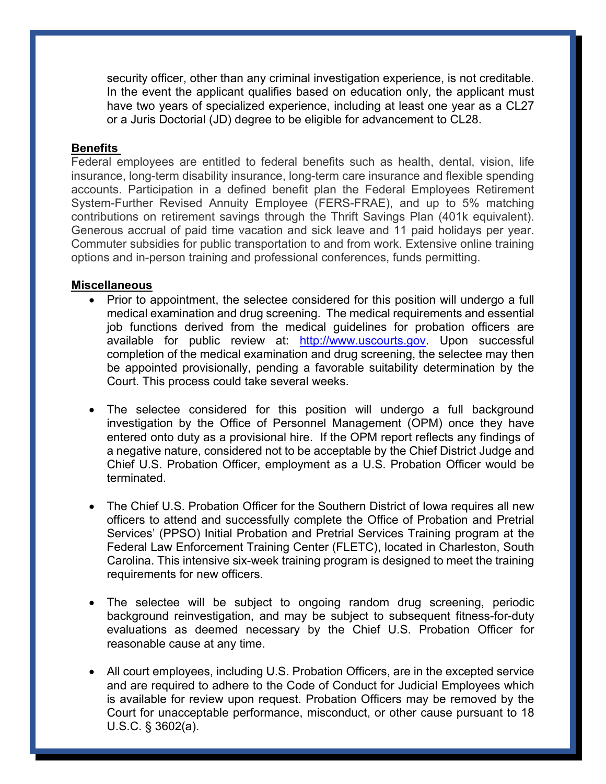security officer, other than any criminal investigation experience, is not creditable. In the event the applicant qualifies based on education only, the applicant must have two years of specialized experience, including at least one year as a CL27 or a Juris Doctorial (JD) degree to be eligible for advancement to CL28.

### **Benefits**

Federal employees are entitled to federal benefits such as health, dental, vision, life insurance, long-term disability insurance, long-term care insurance and flexible spending accounts. Participation in a defined benefit plan the Federal Employees Retirement System-Further Revised Annuity Employee (FERS-FRAE), and up to 5% matching contributions on retirement savings through the Thrift Savings Plan (401k equivalent). Generous accrual of paid time vacation and sick leave and 11 paid holidays per year. Commuter subsidies for public transportation to and from work. Extensive online training options and in-person training and professional conferences, funds permitting.

#### **Miscellaneous**

- Prior to appointment, the selectee considered for this position will undergo a full medical examination and drug screening. The medical requirements and essential job functions derived from the medical guidelines for probation officers are available for public review at: http://www.uscourts.gov. Upon successful completion of the medical examination and drug screening, the selectee may then be appointed provisionally, pending a favorable suitability determination by the Court. This process could take several weeks.
- The selectee considered for this position will undergo a full background investigation by the Office of Personnel Management (OPM) once they have entered onto duty as a provisional hire. If the OPM report reflects any findings of a negative nature, considered not to be acceptable by the Chief District Judge and Chief U.S. Probation Officer, employment as a U.S. Probation Officer would be terminated.
- The Chief U.S. Probation Officer for the Southern District of Iowa requires all new officers to attend and successfully complete the Office of Probation and Pretrial Services' (PPSO) Initial Probation and Pretrial Services Training program at the Federal Law Enforcement Training Center (FLETC), located in Charleston, South Carolina. This intensive six-week training program is designed to meet the training requirements for new officers.
- The selectee will be subject to ongoing random drug screening, periodic background reinvestigation, and may be subject to subsequent fitness-for-duty evaluations as deemed necessary by the Chief U.S. Probation Officer for reasonable cause at any time.
- All court employees, including U.S. Probation Officers, are in the excepted service and are required to adhere to the Code of Conduct for Judicial Employees which is available for review upon request. Probation Officers may be removed by the Court for unacceptable performance, misconduct, or other cause pursuant to 18 U.S.C. § 3602(a).